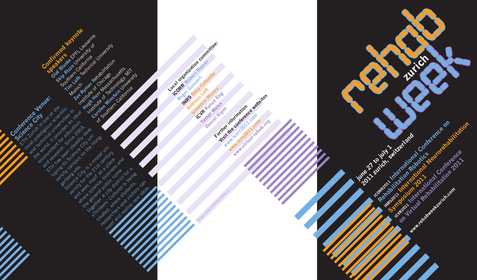